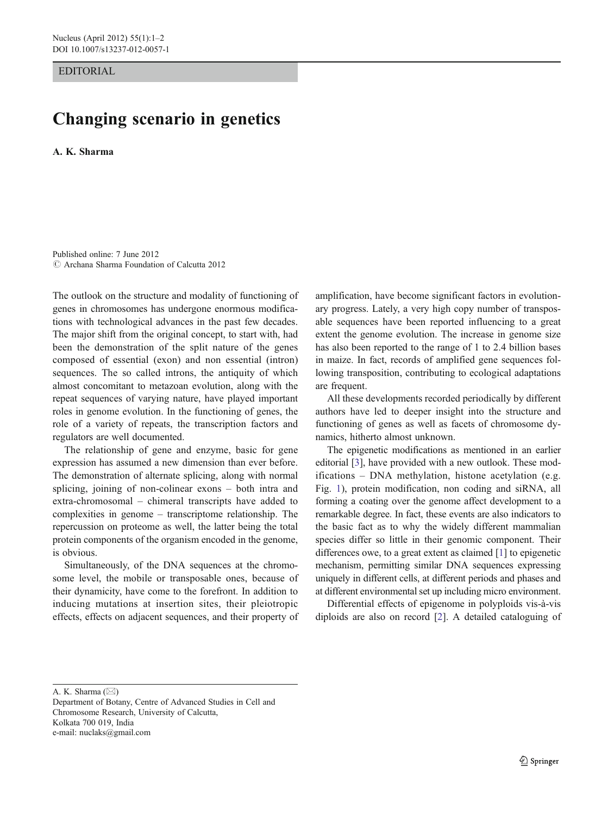EDITORIAL

## Changing scenario in genetics

Published online: 7 June 2012  $\odot$  Archana Sharma Foundation of Calcutta 2012

The outlook on the structure and modality of functioning of genes in chromosomes has undergone enormous modifications with technological advances in the past few decades. The major shift from the original concept, to start with, had been the demonstration of the split nature of the genes composed of essential (exon) and non essential (intron) sequences. The so called introns, the antiquity of which almost concomitant to metazoan evolution, along with the repeat sequences of varying nature, have played important roles in genome evolution. In the functioning of genes, the role of a variety of repeats, the transcription factors and regulators are well documented.

The relationship of gene and enzyme, basic for gene expression has assumed a new dimension than ever before. The demonstration of alternate splicing, along with normal splicing, joining of non-colinear exons – both intra and extra-chromosomal – chimeral transcripts have added to complexities in genome – transcriptome relationship. The repercussion on proteome as well, the latter being the total protein components of the organism encoded in the genome, is obvious.

Simultaneously, of the DNA sequences at the chromosome level, the mobile or transposable ones, because of their dynamicity, have come to the forefront. In addition to inducing mutations at insertion sites, their pleiotropic effects, effects on adjacent sequences, and their property of amplification, have become significant factors in evolutionary progress. Lately, a very high copy number of transposable sequences have been reported influencing to a great extent the genome evolution. The increase in genome size has also been reported to the range of 1 to 2.4 billion bases in maize. In fact, records of amplified gene sequences following transposition, contributing to ecological adaptations are frequent.

All these developments recorded periodically by different authors have led to deeper insight into the structure and functioning of genes as well as facets of chromosome dynamics, hitherto almost unknown.

The epigenetic modifications as mentioned in an earlier editorial [\[3\]](#page-1-0), have provided with a new outlook. These modifications – DNA methylation, histone acetylation (e.g. Fig. [1](#page-1-0)), protein modification, non coding and siRNA, all forming a coating over the genome affect development to a remarkable degree. In fact, these events are also indicators to the basic fact as to why the widely different mammalian species differ so little in their genomic component. Their differences owe, to a great extent as claimed [\[1\]](#page-1-0) to epigenetic mechanism, permitting similar DNA sequences expressing uniquely in different cells, at different periods and phases and at different environmental set up including micro environment.

Differential effects of epigenome in polyploids vis-à-vis diploids are also on record [[2\]](#page-1-0). A detailed cataloguing of

A. K. Sharma  $(\boxtimes)$ 

Department of Botany, Centre of Advanced Studies in Cell and Chromosome Research, University of Calcutta, Kolkata 700 019, India e-mail: nuclaks@gmail.com